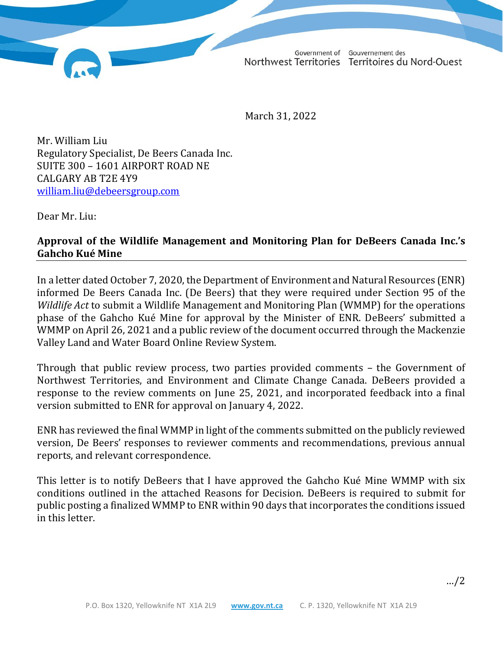Government of Gouvernement des Northwest Territories Territoires du Nord-Ouest

March 31, 2022

Mr. William Liu Regulatory Specialist, De Beers Canada Inc. SUITE 300 – 1601 AIRPORT ROAD NE CALGARY AB T2E 4Y9 william.liu@debeersgroup.com

Dear Mr. Liu:

#### **Approval of the Wildlife Management and Monitoring Plan for DeBeers Canada Inc.'s Gahcho Kué Mine**

In a letter dated October 7, 2020, the Department of Environment and Natural Resources (ENR) informed De Beers Canada Inc. (De Beers) that they were required under Section 95 of the *Wildlife Act* to submit a Wildlife Management and Monitoring Plan (WMMP) for the operations phase of the Gahcho Kué Mine for approval by the Minister of ENR. DeBeers' submitted a WMMP on April 26, 2021 and a public review of the document occurred through the Mackenzie Valley Land and Water Board Online Review System.

Through that public review process, two parties provided comments – the Government of Northwest Territories, and Environment and Climate Change Canada. DeBeers provided a response to the review comments on June 25, 2021, and incorporated feedback into a final version submitted to ENR for approval on January 4, 2022.

ENR has reviewed the final WMMP in light of the comments submitted on the publicly reviewed version, De Beers' responses to reviewer comments and recommendations, previous annual reports, and relevant correspondence.

This letter is to notify DeBeers that I have approved the Gahcho Kué Mine WMMP with six conditions outlined in the attached Reasons for Decision. DeBeers is required to submit for public posting a finalized WMMP to ENR within 90 days that incorporates the conditions issued in this letter.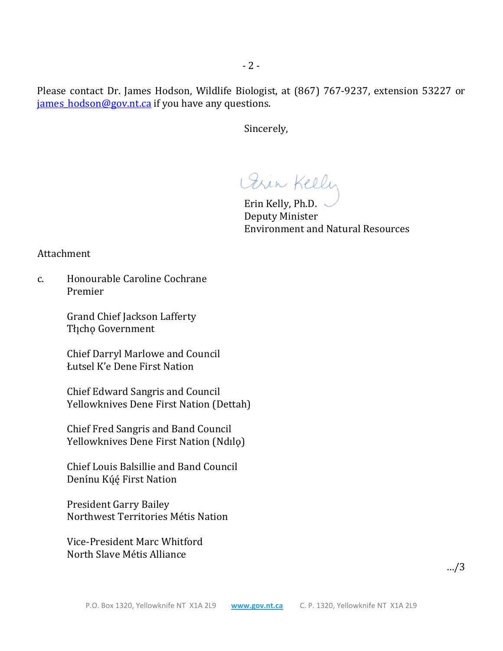Please contact Dr. James Hodson, Wildlife Biologist, at (867) 767-9237, extension 53227 or james hodson@gov.nt.ca if you have any questions.

Sincerely,

Orin Kelly

 Erin Kelly, Ph.D. Deputy Minister Environment and Natural Resources

Attachment

c. Honourable Caroline Cochrane Premier

> Grand Chief Jackson Lafferty Tłı̨chǫ Government

 Chief Darryl Marlowe and Council Łutsel K'e Dene First Nation

 Chief Edward Sangris and Council Yellowknives Dene First Nation (Dettah)

 Chief Fred Sangris and Band Council Yellowknives Dene First Nation (Ndılǫ)

 Chief Louis Balsillie and Band Council Denínu Kúé First Nation

 President Garry Bailey Northwest Territories Métis Nation

 Vice-President Marc Whitford North Slave Métis Alliance

…/3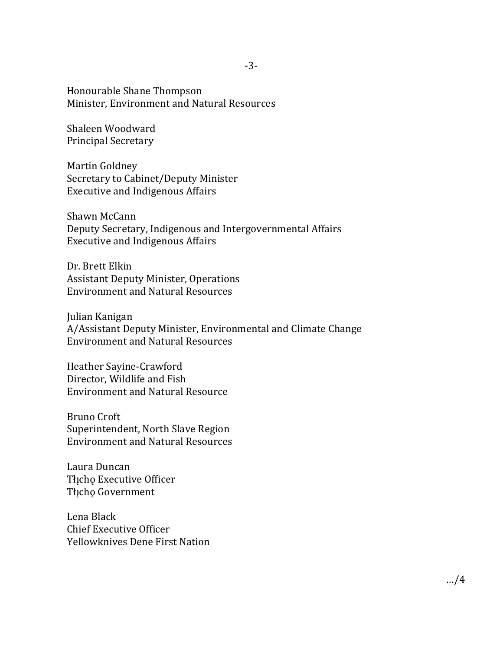Honourable Shane Thompson Minister, Environment and Natural Resources

Shaleen Woodward Principal Secretary

Martin Goldney Secretary to Cabinet/Deputy Minister Executive and Indigenous Affairs

Shawn McCann Deputy Secretary, Indigenous and Intergovernmental Affairs Executive and Indigenous Affairs

Dr. Brett Elkin Assistant Deputy Minister, Operations Environment and Natural Resources

Julian Kanigan A/Assistant Deputy Minister, Environmental and Climate Change Environment and Natural Resources

Heather Sayine-Crawford Director, Wildlife and Fish Environment and Natural Resource

Bruno Croft Superintendent, North Slave Region Environment and Natural Resources

Laura Duncan Thicho Executive Officer Tłįcho Government

Lena Black Chief Executive Officer Yellowknives Dene First Nation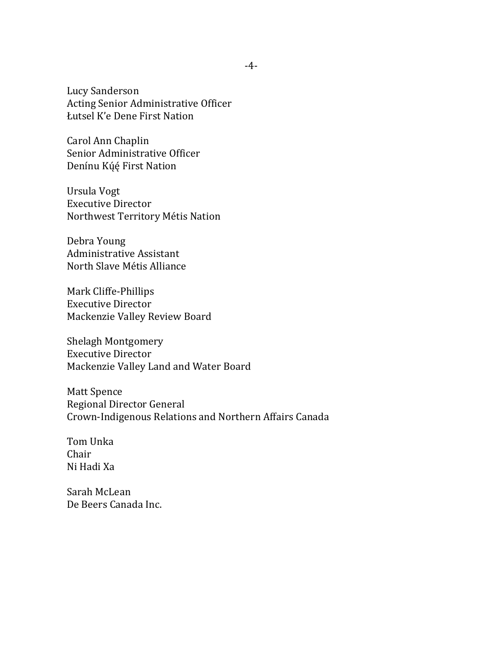Lucy Sanderson Acting Senior Administrative Officer Łutsel K'e Dene First Nation

Carol Ann Chaplin Senior Administrative Officer Denínu Kų́ę́ First Nation

Ursula Vogt Executive Director Northwest Territory Métis Nation

Debra Young Administrative Assistant North Slave Métis Alliance

Mark Cliffe-Phillips Executive Director Mackenzie Valley Review Board

Shelagh Montgomery Executive Director Mackenzie Valley Land and Water Board

Matt Spence Regional Director General Crown-Indigenous Relations and Northern Affairs Canada

Tom Unka Chair Ni Hadi Xa

Sarah McLean De Beers Canada Inc.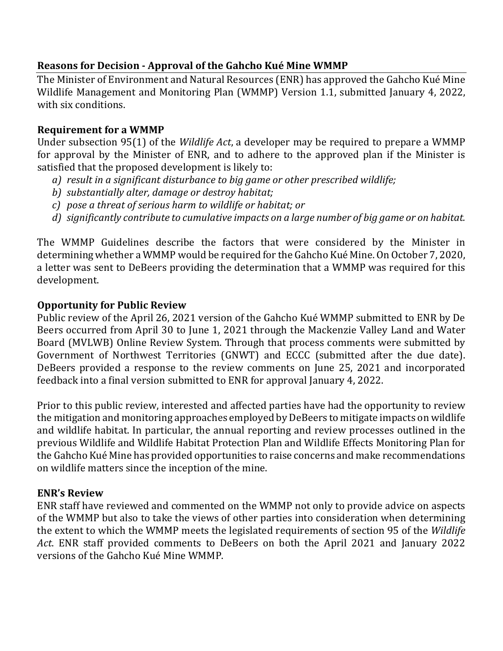### **Reasons for Decision - Approval of the Gahcho Kué Mine WMMP**

The Minister of Environment and Natural Resources (ENR) has approved the Gahcho Kué Mine Wildlife Management and Monitoring Plan (WMMP) Version 1.1, submitted January 4, 2022, with six conditions.

## **Requirement for a WMMP**

Under subsection 95(1) of the *Wildlife Act*, a developer may be required to prepare a WMMP for approval by the Minister of ENR, and to adhere to the approved plan if the Minister is satisfied that the proposed development is likely to:

- *a) result in a significant disturbance to big game or other prescribed wildlife;*
- *b) substantially alter, damage or destroy habitat;*
- *c) pose a threat of serious harm to wildlife or habitat; or*
- *d) significantly contribute to cumulative impacts on a large number of big game or on habitat.*

The WMMP Guidelines describe the factors that were considered by the Minister in determining whether a WMMP would be required for the Gahcho Kué Mine. On October 7, 2020, a letter was sent to DeBeers providing the determination that a WMMP was required for this development.

### **Opportunity for Public Review**

Public review of the April 26, 2021 version of the Gahcho Kué WMMP submitted to ENR by De Beers occurred from April 30 to June 1, 2021 through the Mackenzie Valley Land and Water Board (MVLWB) Online Review System. Through that process comments were submitted by Government of Northwest Territories (GNWT) and ECCC (submitted after the due date). DeBeers provided a response to the review comments on June 25, 2021 and incorporated feedback into a final version submitted to ENR for approval January 4, 2022.

Prior to this public review, interested and affected parties have had the opportunity to review the mitigation and monitoring approaches employed by DeBeers to mitigate impacts on wildlife and wildlife habitat. In particular, the annual reporting and review processes outlined in the previous Wildlife and Wildlife Habitat Protection Plan and Wildlife Effects Monitoring Plan for the Gahcho Kué Mine has provided opportunities to raise concerns and make recommendations on wildlife matters since the inception of the mine.

# **ENR's Review**

ENR staff have reviewed and commented on the WMMP not only to provide advice on aspects of the WMMP but also to take the views of other parties into consideration when determining the extent to which the WMMP meets the legislated requirements of section 95 of the *Wildlife Act*. ENR staff provided comments to DeBeers on both the April 2021 and January 2022 versions of the Gahcho Kué Mine WMMP.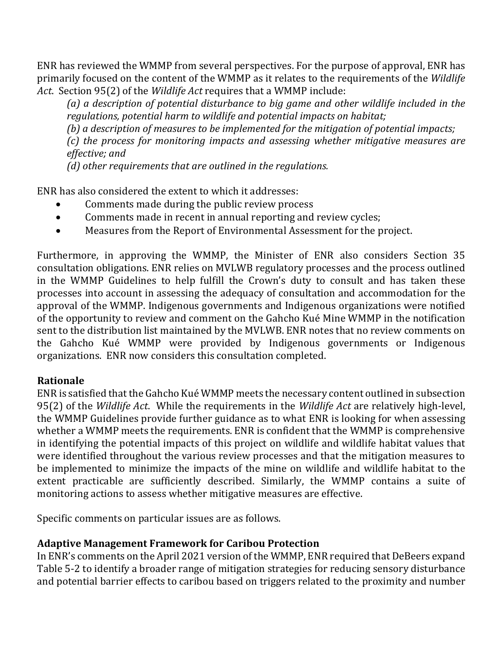ENR has reviewed the WMMP from several perspectives. For the purpose of approval, ENR has primarily focused on the content of the WMMP as it relates to the requirements of the *Wildlife Act*. Section 95(2) of the *Wildlife Act* requires that a WMMP include:

*(a) a description of potential disturbance to big game and other wildlife included in the regulations, potential harm to wildlife and potential impacts on habitat;*

*(b) a description of measures to be implemented for the mitigation of potential impacts;*

*(c) the process for monitoring impacts and assessing whether mitigative measures are effective; and*

*(d) other requirements that are outlined in the regulations.*

ENR has also considered the extent to which it addresses:

- Comments made during the public review process
- Comments made in recent in annual reporting and review cycles;
- Measures from the Report of Environmental Assessment for the project.

Furthermore, in approving the WMMP, the Minister of ENR also considers Section 35 consultation obligations. ENR relies on MVLWB regulatory processes and the process outlined in the WMMP Guidelines to help fulfill the Crown's duty to consult and has taken these processes into account in assessing the adequacy of consultation and accommodation for the approval of the WMMP. Indigenous governments and Indigenous organizations were notified of the opportunity to review and comment on the Gahcho Kué Mine WMMP in the notification sent to the distribution list maintained by the MVLWB. ENR notes that no review comments on the Gahcho Kué WMMP were provided by Indigenous governments or Indigenous organizations. ENR now considers this consultation completed.

### **Rationale**

ENR is satisfied that the Gahcho Kué WMMP meets the necessary content outlined in subsection 95(2) of the *Wildlife Act*. While the requirements in the *Wildlife Act* are relatively high-level, the WMMP Guidelines provide further guidance as to what ENR is looking for when assessing whether a WMMP meets the requirements. ENR is confident that the WMMP is comprehensive in identifying the potential impacts of this project on wildlife and wildlife habitat values that were identified throughout the various review processes and that the mitigation measures to be implemented to minimize the impacts of the mine on wildlife and wildlife habitat to the extent practicable are sufficiently described. Similarly, the WMMP contains a suite of monitoring actions to assess whether mitigative measures are effective.

Specific comments on particular issues are as follows.

### **Adaptive Management Framework for Caribou Protection**

In ENR's comments on the April 2021 version of the WMMP, ENR required that DeBeers expand Table 5-2 to identify a broader range of mitigation strategies for reducing sensory disturbance and potential barrier effects to caribou based on triggers related to the proximity and number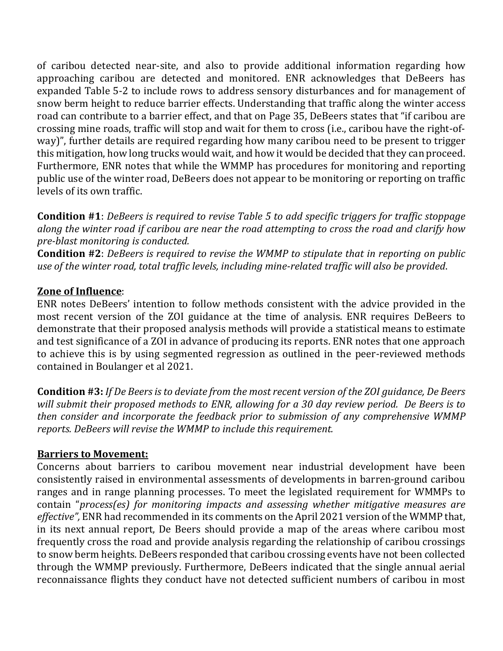of caribou detected near-site, and also to provide additional information regarding how approaching caribou are detected and monitored. ENR acknowledges that DeBeers has expanded Table 5-2 to include rows to address sensory disturbances and for management of snow berm height to reduce barrier effects. Understanding that traffic along the winter access road can contribute to a barrier effect, and that on Page 35, DeBeers states that "if caribou are crossing mine roads, traffic will stop and wait for them to cross (i.e., caribou have the right-ofway)", further details are required regarding how many caribou need to be present to trigger this mitigation, how long trucks would wait, and how it would be decided that they can proceed. Furthermore, ENR notes that while the WMMP has procedures for monitoring and reporting public use of the winter road, DeBeers does not appear to be monitoring or reporting on traffic levels of its own traffic.

**Condition #1**: *DeBeers is required to revise Table 5 to add specific triggers for traffic stoppage along the winter road if caribou are near the road attempting to cross the road and clarify how pre-blast monitoring is conducted.* 

**Condition #2**: *DeBeers is required to revise the WMMP to stipulate that in reporting on public use of the winter road, total traffic levels, including mine-related traffic will also be provided*.

### **Zone of Influence**:

ENR notes DeBeers' intention to follow methods consistent with the advice provided in the most recent version of the ZOI guidance at the time of analysis. ENR requires DeBeers to demonstrate that their proposed analysis methods will provide a statistical means to estimate and test significance of a ZOI in advance of producing its reports. ENR notes that one approach to achieve this is by using segmented regression as outlined in the peer-reviewed methods contained in Boulanger et al 2021.

**Condition #3:** *If De Beers is to deviate from the most recent version of the ZOI guidance, De Beers will submit their proposed methods to ENR, allowing for a 30 day review period. De Beers is to then consider and incorporate the feedback prior to submission of any comprehensive WMMP reports. DeBeers will revise the WMMP to include this requirement.* 

#### **Barriers to Movement:**

Concerns about barriers to caribou movement near industrial development have been consistently raised in environmental assessments of developments in barren-ground caribou ranges and in range planning processes. To meet the legislated requirement for WMMPs to contain "*process(es) for monitoring impacts and assessing whether mitigative measures are effective",* ENR had recommended in its comments on the April 2021 version of the WMMP that, in its next annual report, De Beers should provide a map of the areas where caribou most frequently cross the road and provide analysis regarding the relationship of caribou crossings to snow berm heights. DeBeers responded that caribou crossing events have not been collected through the WMMP previously. Furthermore, DeBeers indicated that the single annual aerial reconnaissance flights they conduct have not detected sufficient numbers of caribou in most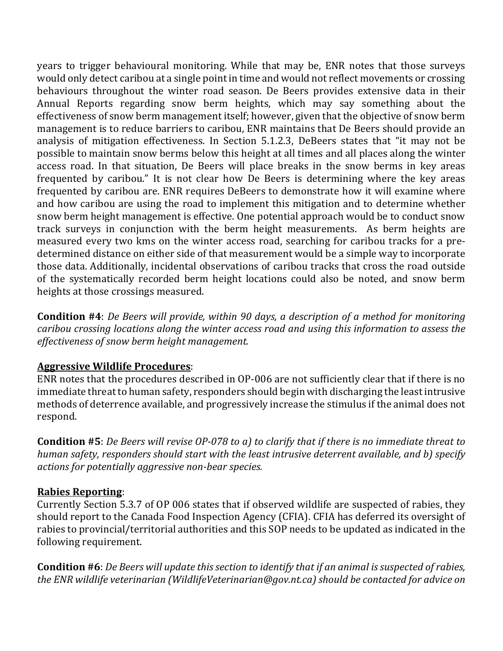years to trigger behavioural monitoring. While that may be, ENR notes that those surveys would only detect caribou at a single point in time and would not reflect movements or crossing behaviours throughout the winter road season. De Beers provides extensive data in their Annual Reports regarding snow berm heights, which may say something about the effectiveness of snow berm management itself; however, given that the objective of snow berm management is to reduce barriers to caribou, ENR maintains that De Beers should provide an analysis of mitigation effectiveness. In Section 5.1.2.3, DeBeers states that "it may not be possible to maintain snow berms below this height at all times and all places along the winter access road. In that situation, De Beers will place breaks in the snow berms in key areas frequented by caribou." It is not clear how De Beers is determining where the key areas frequented by caribou are. ENR requires DeBeers to demonstrate how it will examine where and how caribou are using the road to implement this mitigation and to determine whether snow berm height management is effective. One potential approach would be to conduct snow track surveys in conjunction with the berm height measurements. As berm heights are measured every two kms on the winter access road, searching for caribou tracks for a predetermined distance on either side of that measurement would be a simple way to incorporate those data. Additionally, incidental observations of caribou tracks that cross the road outside of the systematically recorded berm height locations could also be noted, and snow berm heights at those crossings measured.

**Condition #4**: *De Beers will provide, within 90 days, a description of a method for monitoring caribou crossing locations along the winter access road and using this information to assess the effectiveness of snow berm height management.*

### **Aggressive Wildlife Procedures**:

ENR notes that the procedures described in OP-006 are not sufficiently clear that if there is no immediate threat to human safety, responders should begin with discharging the least intrusive methods of deterrence available, and progressively increase the stimulus if the animal does not respond.

**Condition #5**: *De Beers will revise OP-078 to a) to clarify that if there is no immediate threat to human safety, responders should start with the least intrusive deterrent available, and b) specify actions for potentially aggressive non-bear species.*

### **Rabies Reporting**:

Currently Section 5.3.7 of OP 006 states that if observed wildlife are suspected of rabies, they should report to the Canada Food Inspection Agency (CFIA). CFIA has deferred its oversight of rabies to provincial/territorial authorities and this SOP needs to be updated as indicated in the following requirement.

**Condition #6**: *De Beers will update this section to identify that if an animal is suspected of rabies, the ENR wildlife veterinarian (WildlifeVeterinarian@gov.nt.ca) should be contacted for advice on*